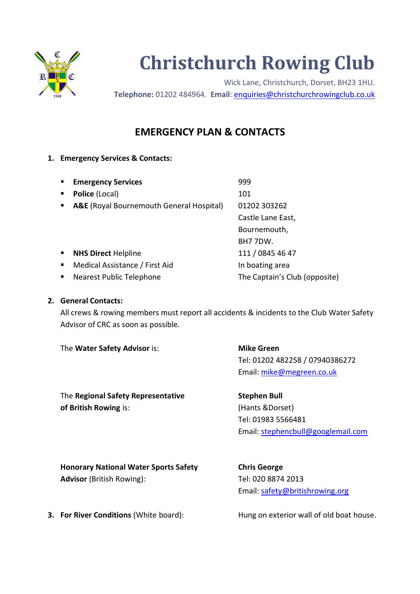

# **Christchurch Rowing Club**

Wick Lane, Christchurch, Dorset, BH23 1HU. **Telephone:** 01202 484964. **Email**: [enquiries@christchurchrowingclub.co.uk](mailto:enquiries@christchurchrowingclub.co.uk)

# **EMERGENCY PLAN & CONTACTS**

## **1. Emergency Services & Contacts:**

| $\blacksquare$ | <b>Emergency Services</b>                           | 999                           |
|----------------|-----------------------------------------------------|-------------------------------|
| $\blacksquare$ | Police (Local)                                      | 101                           |
| $\blacksquare$ | <b>A&amp;E</b> (Royal Bournemouth General Hospital) | 01202 303262                  |
|                |                                                     | Castle Lane East,             |
|                |                                                     | Bournemouth,                  |
|                |                                                     | BH77DW.                       |
| $\blacksquare$ | <b>NHS Direct Helpline</b>                          | 111 / 0845 46 47              |
| $\blacksquare$ | Medical Assistance / First Aid                      | In boating area               |
| $\blacksquare$ | Nearest Public Telephone                            | The Captain's Club (opposite) |

#### **2. General Contacts:**

All crews & rowing members must report all accidents & incidents to the Club Water Safety Advisor of CRC as soon as possible.

The **Water Safety Advisor** is: **Mike Green** 

Tel: 01202 482258 / 07940386272 Email: [mike@megreen.co.uk](mailto:mike@megreen.co.uk)

The **Regional Safety Representative Stephen Bull of British Rowing** is: (Hants &Dorset)

Tel: 01983 5566481 Email: [stephencbull@googlemail.com](mailto:stephencbull@googlemail.com)

**Honorary National Water Sports Safety Chris George Advisor** (British Rowing): Tel: 020 8874 2013

Email: [safety@britishrowing.org](mailto:safety@britishrowing.org)

**3. For River Conditions** (White board): Hung on exterior wall of old boat house.